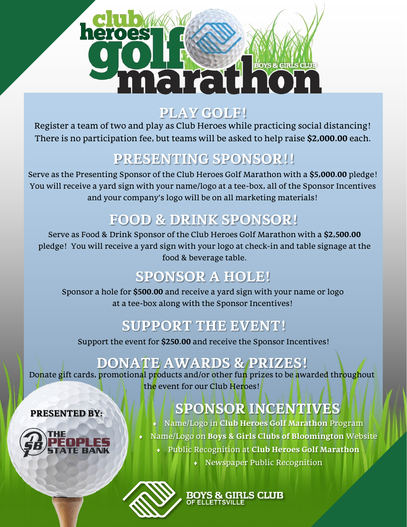# THEIR HOT

#### **PLAY GOLF!**

Register a team of two and play as Club Heroes while practicing social distancing! There is no participation fee, but teams will be asked to help raise **\$2,000.00** each.

#### **PRESENTING SPONSOR!!**

Serve as the Presenting Sponsor of the Club Heroes Golf Marathon with a **\$5,000.00** pledge! You will receive a yard sign with your name/logo at a tee-box, all of the Sponsor Incentives and your company's logo will be on all marketing materials!

# **FOOD & DRINK SPONSOR!**

Serve as Food & Drink Sponsor of the Club Heroes Golf Marathon with a **\$2,500.00**  pledge! You will receive a yard sign with your logo at check-in and table signage at the food & beverage table.

#### **SPONSOR A HOLE!**

Sponsor a hole for **\$500.00** and receive a yard sign with your name or logo at a tee-box along with the Sponsor Incentives!

# **SUPPORT THE EVENT!**

Support the event for **\$250.00** and receive the Sponsor Incentives!

# **DONATE AWARDS & PRIZES!**

Donate gift cards, promotional products and/or other fun prizes to be awarded throughout the event for our Club Heroes!

# **SPONSOR INCENTIVES**

- Name/Logo in **Club Heroes Golf Marathon** Program
- Name/Logo on **Boys & Girls Clubs of Bloomington** Website
	- Public Recognition at **Club Heroes Golf Marathon** 
		- Newspaper Public Recognition





**PRESENTED BY:**